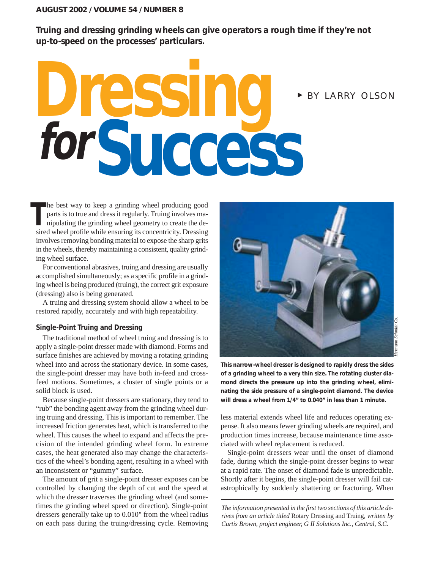### **AUGUST 2002 / VOLUME 54 / NUMBER 8**

**Truing and dressing grinding wheels can give operators a rough time if they're not up-to-speed on the processes' particulars.**

# **Dressing Success** <sup>❿</sup> BY LARRY OLSON **for**

he best way to keep a grinding wheel producing good parts is to true and dress it regularly. Truing involves manipulating the grinding wheel geometry to create the desired wheel profile while ensuring its concentricity. Dressing involves removing bonding material to expose the sharp grits in the wheels, thereby maintaining a consistent, quality grinding wheel surface. **T**

For conventional abrasives, truing and dressing are usually accomplished simultaneously; as a specific profile in a grinding wheel is being produced (truing), the correct grit exposure (dressing) also is being generated.

A truing and dressing system should allow a wheel to be restored rapidly, accurately and with high repeatability.

### **Single-Point Truing and Dressing**

The traditional method of wheel truing and dressing is to apply a single-point dresser made with diamond. Forms and surface finishes are achieved by moving a rotating grinding wheel into and across the stationary device. In some cases, the single-point dresser may have both in-feed and crossfeed motions. Sometimes, a cluster of single points or a solid block is used.

Because single-point dressers are stationary, they tend to "rub" the bonding agent away from the grinding wheel during truing and dressing. This is important to remember. The increased friction generates heat, which is transferred to the wheel. This causes the wheel to expand and affects the precision of the intended grinding wheel form. In extreme cases, the heat generated also may change the characteristics of the wheel's bonding agent, resulting in a wheel with an inconsistent or "gummy" surface.

The amount of grit a single-point dresser exposes can be controlled by changing the depth of cut and the speed at which the dresser traverses the grinding wheel (and sometimes the grinding wheel speed or direction). Single-point dressers generally take up to 0.010" from the wheel radius on each pass during the truing/dressing cycle. Removing



*Hermann Schmidt Co.* Schmidt Co

**This narrow-wheel dresser is designed to rapidly dress the sides of a grinding wheel to a very thin size. The rotating cluster diamond directs the pressure up into the grinding wheel, eliminating the side pressure of a single-point diamond. The device will dress a wheel from 1/4" to 0.040" in less than 1 minute.**

less material extends wheel life and reduces operating expense. It also means fewer grinding wheels are required, and production times increase, because maintenance time associated with wheel replacement is reduced.

Single-point dressers wear until the onset of diamond fade, during which the single-point dresser begins to wear at a rapid rate. The onset of diamond fade is unpredictable. Shortly after it begins, the single-point dresser will fail catastrophically by suddenly shattering or fracturing. When

*The information presented in the first two sections of this article derives from an article titled* Rotary Dressing and Truing*, written by Curtis Brown, project engineer, G II Solutions Inc., Central, S.C.*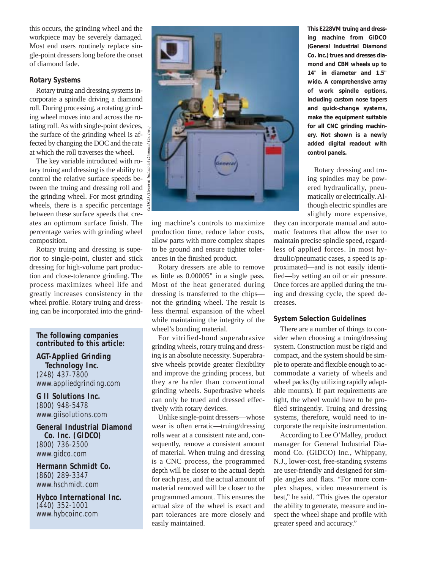this occurs, the grinding wheel and the workpiece may be severely damaged. Most end users routinely replace single-point dressers long before the onset of diamond fade.

### **Rotary Systems**

Rotary truing and dressing systems incorporate a spindle driving a diamond roll. During processing, a rotating grinding wheel moves into and across the rotating roll. As with single-point devices, the surface of the grinding wheel is affected by changing the DOC and the rate at which the roll traverses the wheel.

The key variable introduced with rotary truing and dressing is the ability to control the relative surface speeds between the truing and dressing roll and the grinding wheel. For most grinding wheels, there is a specific percentage between these surface speeds that creates an optimum surface finish. The percentage varies with grinding wheel composition.

Rotary truing and dressing is superior to single-point, cluster and stick dressing for high-volume part production and close-tolerance grinding. The process maximizes wheel life and greatly increases consistency in the wheel profile. Rotary truing and dressing can be incorporated into the grind-

## **The following companies contributed to this article:**

**AGT-Applied Grinding Technology Inc.** (248) 437-7800 www.appliedgrinding.com

**G II Solutions Inc.** (800) 948-5478 www.giisolutions.com

**General Industrial Diamond Co. Inc. (GIDCO)** (800) 736-2500 www.gidco.com

**Hermann Schmidt Co.** (860) 289-3347 www.hschmidt.com

**Hybco International Inc.** (440) 352-1001 www.hybcoinc.com



ing machine's controls to maximize production time, reduce labor costs, allow parts with more complex shapes to be ground and ensure tighter tolerances in the finished product.

Rotary dressers are able to remove as little as 0.00005" in a single pass. Most of the heat generated during dressing is transferred to the chips not the grinding wheel. The result is less thermal expansion of the wheel while maintaining the integrity of the wheel's bonding material.

For vitrified-bond superabrasive grinding wheels, rotary truing and dressing is an absolute necessity. Superabrasive wheels provide greater flexibility and improve the grinding process, but they are harder than conventional grinding wheels. Superbrasive wheels can only be trued and dressed effectively with rotary devices.

Unlike single-point dressers—whose wear is often erratic—truing/dressing rolls wear at a consistent rate and, consequently, remove a consistent amount of material. When truing and dressing is a CNC process, the programmed depth will be closer to the actual depth for each pass, and the actual amount of material removed will be closer to the programmed amount. This ensures the actual size of the wheel is exact and part tolerances are more closely and easily maintained.

**This E228VM truing and dressing machine from GIDCO (General Industrial Diamond Co. Inc.) trues and dresses diamond and CBN wheels up to 14" in diameter and 1.5" wide. A comprehensive array of work spindle options, including custom nose tapers and quick-change systems, make the equipment suitable for all CNC grinding machinery. Not shown is a newly added digital readout with control panels.**

Rotary dressing and truing spindles may be powered hydraulically, pneumatically or electrically. Although electric spindles are slightly more expensive,

they can incorporate manual and automatic features that allow the user to maintain precise spindle speed, regardless of applied forces. In most hydraulic/pneumatic cases, a speed is approximated—and is not easily identified—by setting an oil or air pressure. Once forces are applied during the truing and dressing cycle, the speed decreases.

### **System Selection Guidelines**

There are a number of things to consider when choosing a truing/dressing system. Construction must be rigid and compact, and the system should be simple to operate and flexible enough to accommodate a variety of wheels and wheel packs (by utilizing rapidly adaptable mounts). If part requirements are tight, the wheel would have to be profiled stringently. Truing and dressing systems, therefore, would need to incorporate the requisite instrumentation.

According to Lee O'Malley, product manager for General Industrial Diamond Co. (GIDCO) Inc., Whippany, N.J., lower-cost, free-standing systems are user-friendly and designed for simple angles and flats. "For more complex shapes, video measurement is best," he said. "This gives the operator the ability to generate, measure and inspect the wheel shape and profile with greater speed and accuracy."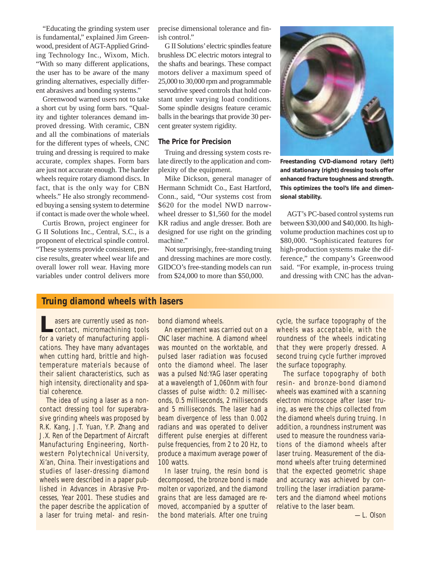"Educating the grinding system user is fundamental," explained Jim Greenwood, president of AGT-Applied Grinding Technology Inc., Wixom, Mich. "With so many different applications, the user has to be aware of the many grinding alternatives, especially different abrasives and bonding systems."

Greenwood warned users not to take a short cut by using form bars. "Quality and tighter tolerances demand improved dressing. With ceramic, CBN and all the combinations of materials for the different types of wheels, CNC truing and dressing is required to make accurate, complex shapes. Form bars are just not accurate enough. The harder wheels require rotary diamond discs. In fact, that is the only way for CBN wheels." He also strongly recommended buying a sensing system to determine if contact is made over the whole wheel.

Curtis Brown, project engineer for G II Solutions Inc., Central, S.C., is a proponent of electrical spindle control. "These systems provide consistent, precise results, greater wheel wear life and overall lower roll wear. Having more variables under control delivers more precise dimensional tolerance and finish control."

G II Solutions'electric spindles feature brushless DC electric motors integral to the shafts and bearings. These compact motors deliver a maximum speed of 25,000 to 30,000 rpm and programmable servodrive speed controls that hold constant under varying load conditions. Some spindle designs feature ceramic balls in the bearings that provide 30 percent greater system rigidity.

### **The Price for Precision**

Truing and dressing system costs relate directly to the application and complexity of the equipment.

Mike Dickson, general manager of Hermann Schmidt Co., East Hartford, Conn., said, "Our systems cost from \$620 for the model NWD narrowwheel dresser to \$1,560 for the model KR radius and angle dresser. Both are designed for use right on the grinding machine."

Not surprisingly, free-standing truing and dressing machines are more costly. GIDCO's free-standing models can run from \$24,000 to more than \$50,000.



**Freestanding CVD-diamond rotary (left) and stationary (right) dressing tools offer enhanced fracture toughness and strength. This optimizes the tool's life and dimensional stability.**

AGT's PC-based control systems run between \$30,000 and \$40,000. Its highvolume production machines cost up to \$80,000. "Sophisticated features for high-production systems make the difference," the company's Greenwood said. "For example, in-process truing and dressing with CNC has the advan-

# **Truing diamond wheels with lasers**

**Lasers are currently used as non-**<br>
contact, micromachining tools for a variety of manufacturing applications. They have many advantages when cutting hard, brittle and hightemperature materials because of their salient characteristics, such as high intensity, directionality and spatial coherence.

The idea of using a laser as a noncontact dressing tool for superabrasive grinding wheels was proposed by R.K. Kang, J.T. Yuan, Y.P. Zhang and J.X. Ren of the Department of Aircraft Manufacturing Engineering, Northwestern Polytechnical University, Xi'an, China. Their investigations and studies of laser-dressing diamond wheels were described in a paper published in *Advances in Abrasive Processes, Year 2001*. These studies and the paper describe the application of a laser for truing metal- and resinbond diamond wheels.

An experiment was carried out on a CNC laser machine. A diamond wheel was mounted on the worktable, and pulsed laser radiation was focused onto the diamond wheel. The laser was a pulsed Nd:YAG laser operating at a wavelength of 1,060nm with four classes of pulse width: 0.2 milliseconds, 0.5 milliseconds, 2 milliseconds and 5 milliseconds. The laser had a beam divergence of less than 0.002 radians and was operated to deliver different pulse energies at different pulse frequencies, from 2 to 20 Hz, to produce a maximum average power of 100 watts.

In laser truing, the resin bond is decomposed, the bronze bond is made molten or vaporized, and the diamond grains that are less damaged are removed, accompanied by a sputter of the bond materials. After one truing cycle, the surface topography of the wheels was acceptable, with the roundness of the wheels indicating that they were properly dressed. A second truing cycle further improved the surface topography.

The surface topography of both resin- and bronze-bond diamond wheels was examined with a scanning electron microscope after laser truing, as were the chips collected from the diamond wheels during truing. In addition, a roundness instrument was used to measure the roundness variations of the diamond wheels after laser truing. Measurement of the diamond wheels after truing determined that the expected geometric shape and accuracy was achieved by controlling the laser irradiation parameters and the diamond wheel motions relative to the laser beam.

—L. Olson